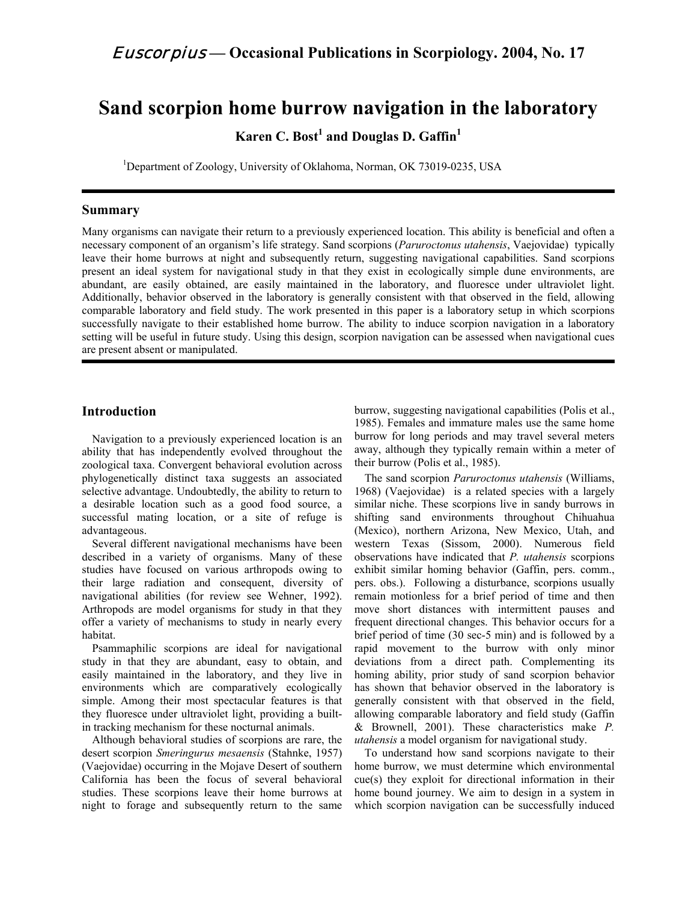# **Sand scorpion home burrow navigation in the laboratory**

**Karen C. Bost<sup>1</sup> and Douglas D. Gaffin1**

<sup>1</sup>Department of Zoology, University of Oklahoma, Norman, OK 73019-0235, USA

#### **Summary**

Many organisms can navigate their return to a previously experienced location. This ability is beneficial and often a necessary component of an organism's life strategy. Sand scorpions (*Paruroctonus utahensis*, Vaejovidae) typically leave their home burrows at night and subsequently return, suggesting navigational capabilities. Sand scorpions present an ideal system for navigational study in that they exist in ecologically simple dune environments, are abundant, are easily obtained, are easily maintained in the laboratory, and fluoresce under ultraviolet light. Additionally, behavior observed in the laboratory is generally consistent with that observed in the field, allowing comparable laboratory and field study. The work presented in this paper is a laboratory setup in which scorpions successfully navigate to their established home burrow. The ability to induce scorpion navigation in a laboratory setting will be useful in future study. Using this design, scorpion navigation can be assessed when navigational cues are present absent or manipulated.

### **Introduction**

Navigation to a previously experienced location is an ability that has independently evolved throughout the zoological taxa. Convergent behavioral evolution across phylogenetically distinct taxa suggests an associated selective advantage. Undoubtedly, the ability to return to a desirable location such as a good food source, a successful mating location, or a site of refuge is advantageous.

Several different navigational mechanisms have been described in a variety of organisms. Many of these studies have focused on various arthropods owing to their large radiation and consequent, diversity of navigational abilities (for review see Wehner, 1992). Arthropods are model organisms for study in that they offer a variety of mechanisms to study in nearly every habitat.

Psammaphilic scorpions are ideal for navigational study in that they are abundant, easy to obtain, and easily maintained in the laboratory, and they live in environments which are comparatively ecologically simple. Among their most spectacular features is that they fluoresce under ultraviolet light, providing a builtin tracking mechanism for these nocturnal animals.

Although behavioral studies of scorpions are rare, the desert scorpion *Smeringurus mesaensis* (Stahnke, 1957) (Vaejovidae) occurring in the Mojave Desert of southern California has been the focus of several behavioral studies. These scorpions leave their home burrows at night to forage and subsequently return to the same

burrow, suggesting navigational capabilities (Polis et al., 1985). Females and immature males use the same home burrow for long periods and may travel several meters away, although they typically remain within a meter of their burrow (Polis et al., 1985).

The sand scorpion *Paruroctonus utahensis* (Williams, 1968) (Vaejovidae) is a related species with a largely similar niche. These scorpions live in sandy burrows in shifting sand environments throughout Chihuahua (Mexico), northern Arizona, New Mexico, Utah, and western Texas (Sissom, 2000). Numerous field observations have indicated that *P. utahensis* scorpions exhibit similar homing behavior (Gaffin, pers. comm., pers. obs.). Following a disturbance, scorpions usually remain motionless for a brief period of time and then move short distances with intermittent pauses and frequent directional changes. This behavior occurs for a brief period of time (30 sec-5 min) and is followed by a rapid movement to the burrow with only minor deviations from a direct path. Complementing its homing ability, prior study of sand scorpion behavior has shown that behavior observed in the laboratory is generally consistent with that observed in the field, allowing comparable laboratory and field study (Gaffin & Brownell, 2001). These characteristics make *P. utahensis* a model organism for navigational study.

To understand how sand scorpions navigate to their home burrow, we must determine which environmental cue(s) they exploit for directional information in their home bound journey. We aim to design in a system in which scorpion navigation can be successfully induced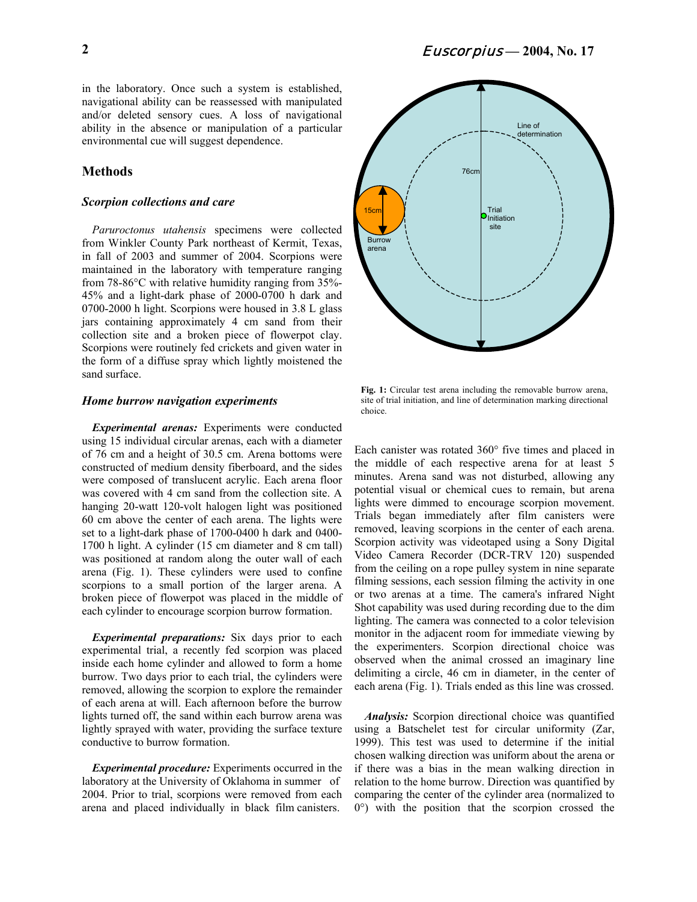in the laboratory. Once such a system is established, navigational ability can be reassessed with manipulated and/or deleted sensory cues. A loss of navigational ability in the absence or manipulation of a particular environmental cue will suggest dependence.

#### **Methods**

#### *Scorpion collections and care*

*Paruroctonus utahensis* specimens were collected from Winkler County Park northeast of Kermit, Texas, in fall of 2003 and summer of 2004. Scorpions were maintained in the laboratory with temperature ranging from 78-86°C with relative humidity ranging from 35%- 45% and a light-dark phase of 2000-0700 h dark and 0700-2000 h light. Scorpions were housed in 3.8 L glass jars containing approximately 4 cm sand from their collection site and a broken piece of flowerpot clay. Scorpions were routinely fed crickets and given water in the form of a diffuse spray which lightly moistened the sand surface.

#### *Home burrow navigation experiments*

*Experimental arenas:* Experiments were conducted using 15 individual circular arenas, each with a diameter of 76 cm and a height of 30.5 cm. Arena bottoms were constructed of medium density fiberboard, and the sides were composed of translucent acrylic. Each arena floor was covered with 4 cm sand from the collection site. A hanging 20-watt 120-volt halogen light was positioned 60 cm above the center of each arena. The lights were set to a light-dark phase of 1700-0400 h dark and 0400- 1700 h light. A cylinder (15 cm diameter and 8 cm tall) was positioned at random along the outer wall of each arena (Fig. 1). These cylinders were used to confine scorpions to a small portion of the larger arena. A broken piece of flowerpot was placed in the middle of each cylinder to encourage scorpion burrow formation.

*Experimental preparations:* Six days prior to each experimental trial, a recently fed scorpion was placed inside each home cylinder and allowed to form a home burrow. Two days prior to each trial, the cylinders were removed, allowing the scorpion to explore the remainder of each arena at will. Each afternoon before the burrow lights turned off, the sand within each burrow arena was lightly sprayed with water, providing the surface texture conductive to burrow formation.

*Experimental procedure:* Experiments occurred in the laboratory at the University of Oklahoma in summer of 2004. Prior to trial, scorpions were removed from each arena and placed individually in black film canisters.



**Fig. 1:** Circular test arena including the removable burrow arena, site of trial initiation, and line of determination marking directional choice.

Each canister was rotated 360° five times and placed in the middle of each respective arena for at least 5 minutes. Arena sand was not disturbed, allowing any potential visual or chemical cues to remain, but arena lights were dimmed to encourage scorpion movement. Trials began immediately after film canisters were removed, leaving scorpions in the center of each arena. Scorpion activity was videotaped using a Sony Digital Video Camera Recorder (DCR-TRV 120) suspended from the ceiling on a rope pulley system in nine separate filming sessions, each session filming the activity in one or two arenas at a time. The camera's infrared Night Shot capability was used during recording due to the dim lighting. The camera was connected to a color television monitor in the adjacent room for immediate viewing by the experimenters. Scorpion directional choice was observed when the animal crossed an imaginary line delimiting a circle, 46 cm in diameter, in the center of each arena (Fig. 1). Trials ended as this line was crossed.

*Analysis:* Scorpion directional choice was quantified using a Batschelet test for circular uniformity (Zar, 1999). This test was used to determine if the initial chosen walking direction was uniform about the arena or if there was a bias in the mean walking direction in relation to the home burrow. Direction was quantified by comparing the center of the cylinder area (normalized to 0°) with the position that the scorpion crossed the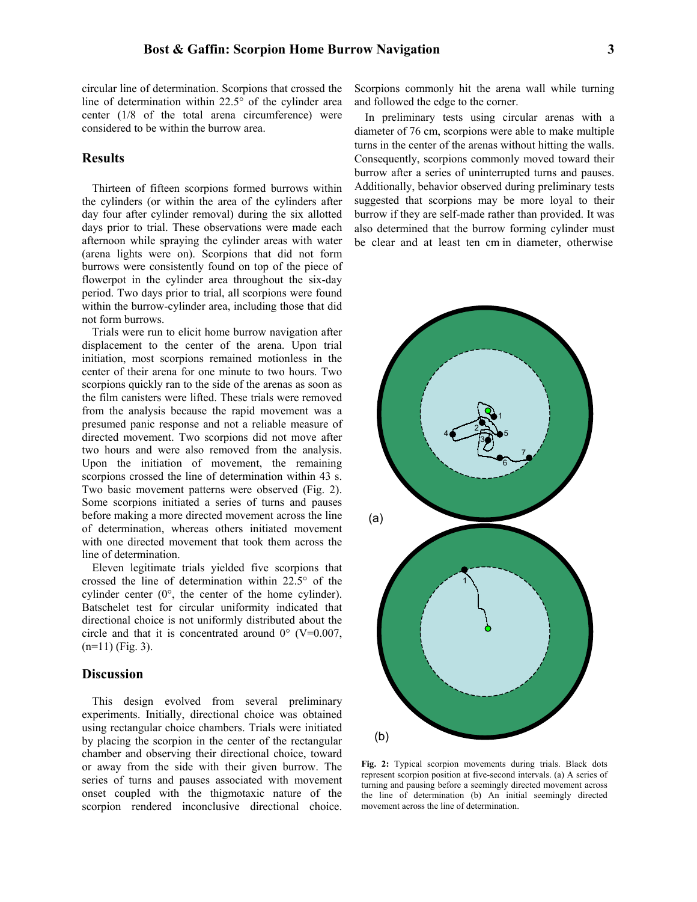circular line of determination. Scorpions that crossed the line of determination within 22.5° of the cylinder area center (1/8 of the total arena circumference) were considered to be within the burrow area.

## **Results**

Thirteen of fifteen scorpions formed burrows within the cylinders (or within the area of the cylinders after day four after cylinder removal) during the six allotted days prior to trial. These observations were made each afternoon while spraying the cylinder areas with water (arena lights were on). Scorpions that did not form burrows were consistently found on top of the piece of flowerpot in the cylinder area throughout the six-day period. Two days prior to trial, all scorpions were found within the burrow-cylinder area, including those that did not form burrows.

Trials were run to elicit home burrow navigation after displacement to the center of the arena. Upon trial initiation, most scorpions remained motionless in the center of their arena for one minute to two hours. Two scorpions quickly ran to the side of the arenas as soon as the film canisters were lifted. These trials were removed from the analysis because the rapid movement was a presumed panic response and not a reliable measure of directed movement. Two scorpions did not move after two hours and were also removed from the analysis. Upon the initiation of movement, the remaining scorpions crossed the line of determination within 43 s. Two basic movement patterns were observed (Fig. 2). Some scorpions initiated a series of turns and pauses before making a more directed movement across the line of determination, whereas others initiated movement with one directed movement that took them across the line of determination.

Eleven legitimate trials yielded five scorpions that crossed the line of determination within 22.5° of the cylinder center (0°, the center of the home cylinder). Batschelet test for circular uniformity indicated that directional choice is not uniformly distributed about the circle and that it is concentrated around  $0^{\circ}$  (V=0.007,  $(n=11)$  (Fig. 3).

#### **Discussion**

This design evolved from several preliminary experiments. Initially, directional choice was obtained using rectangular choice chambers. Trials were initiated by placing the scorpion in the center of the rectangular chamber and observing their directional choice, toward or away from the side with their given burrow. The series of turns and pauses associated with movement onset coupled with the thigmotaxic nature of the scorpion rendered inconclusive directional choice.

Scorpions commonly hit the arena wall while turning and followed the edge to the corner.

In preliminary tests using circular arenas with a diameter of 76 cm, scorpions were able to make multiple turns in the center of the arenas without hitting the walls. Consequently, scorpions commonly moved toward their burrow after a series of uninterrupted turns and pauses. Additionally, behavior observed during preliminary tests suggested that scorpions may be more loyal to their burrow if they are self-made rather than provided. It was also determined that the burrow forming cylinder must be clear and at least ten cm in diameter, otherwise



**Fig. 2:** Typical scorpion movements during trials. Black dots represent scorpion position at five-second intervals. (a) A series of turning and pausing before a seemingly directed movement across the line of determination (b) An initial seemingly directed movement across the line of determination.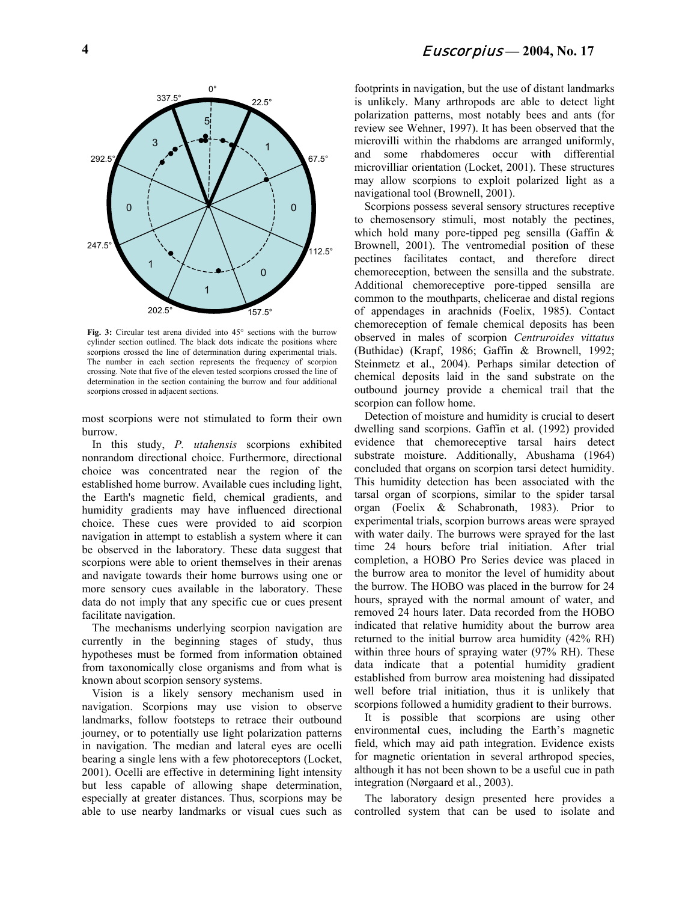

**Fig. 3:** Circular test arena divided into 45° sections with the burrow cylinder section outlined. The black dots indicate the positions where scorpions crossed the line of determination during experimental trials. The number in each section represents the frequency of scorpion crossing. Note that five of the eleven tested scorpions crossed the line of determination in the section containing the burrow and four additional scorpions crossed in adjacent sections.

most scorpions were not stimulated to form their own burrow.

In this study, *P. utahensis* scorpions exhibited nonrandom directional choice. Furthermore, directional choice was concentrated near the region of the established home burrow. Available cues including light, the Earth's magnetic field, chemical gradients, and humidity gradients may have influenced directional choice. These cues were provided to aid scorpion navigation in attempt to establish a system where it can be observed in the laboratory. These data suggest that scorpions were able to orient themselves in their arenas and navigate towards their home burrows using one or more sensory cues available in the laboratory. These data do not imply that any specific cue or cues present facilitate navigation.

The mechanisms underlying scorpion navigation are currently in the beginning stages of study, thus hypotheses must be formed from information obtained from taxonomically close organisms and from what is known about scorpion sensory systems.

Vision is a likely sensory mechanism used in navigation. Scorpions may use vision to observe landmarks, follow footsteps to retrace their outbound journey, or to potentially use light polarization patterns in navigation. The median and lateral eyes are ocelli bearing a single lens with a few photoreceptors (Locket, 2001). Ocelli are effective in determining light intensity but less capable of allowing shape determination, especially at greater distances. Thus, scorpions may be able to use nearby landmarks or visual cues such as

footprints in navigation, but the use of distant landmarks is unlikely. Many arthropods are able to detect light polarization patterns, most notably bees and ants (for review see Wehner, 1997). It has been observed that the microvilli within the rhabdoms are arranged uniformly, and some rhabdomeres occur with differential microvilliar orientation (Locket, 2001). These structures may allow scorpions to exploit polarized light as a navigational tool (Brownell, 2001).

Scorpions possess several sensory structures receptive to chemosensory stimuli, most notably the pectines, which hold many pore-tipped peg sensilla (Gaffin  $\&$ Brownell, 2001). The ventromedial position of these pectines facilitates contact, and therefore direct chemoreception, between the sensilla and the substrate. Additional chemoreceptive pore-tipped sensilla are common to the mouthparts, chelicerae and distal regions of appendages in arachnids (Foelix, 1985). Contact chemoreception of female chemical deposits has been observed in males of scorpion *Centruroides vittatus* (Buthidae) (Krapf, 1986; Gaffin & Brownell, 1992; Steinmetz et al., 2004). Perhaps similar detection of chemical deposits laid in the sand substrate on the outbound journey provide a chemical trail that the scorpion can follow home.

Detection of moisture and humidity is crucial to desert dwelling sand scorpions. Gaffin et al. (1992) provided evidence that chemoreceptive tarsal hairs detect substrate moisture. Additionally, Abushama (1964) concluded that organs on scorpion tarsi detect humidity. This humidity detection has been associated with the tarsal organ of scorpions, similar to the spider tarsal organ (Foelix & Schabronath, 1983). Prior to experimental trials, scorpion burrows areas were sprayed with water daily. The burrows were sprayed for the last time 24 hours before trial initiation. After trial completion, a HOBO Pro Series device was placed in the burrow area to monitor the level of humidity about the burrow. The HOBO was placed in the burrow for 24 hours, sprayed with the normal amount of water, and removed 24 hours later. Data recorded from the HOBO indicated that relative humidity about the burrow area returned to the initial burrow area humidity (42% RH) within three hours of spraying water (97% RH). These data indicate that a potential humidity gradient established from burrow area moistening had dissipated well before trial initiation, thus it is unlikely that scorpions followed a humidity gradient to their burrows.

It is possible that scorpions are using other environmental cues, including the Earth's magnetic field, which may aid path integration. Evidence exists for magnetic orientation in several arthropod species, although it has not been shown to be a useful cue in path integration (Nørgaard et al., 2003).

The laboratory design presented here provides a controlled system that can be used to isolate and